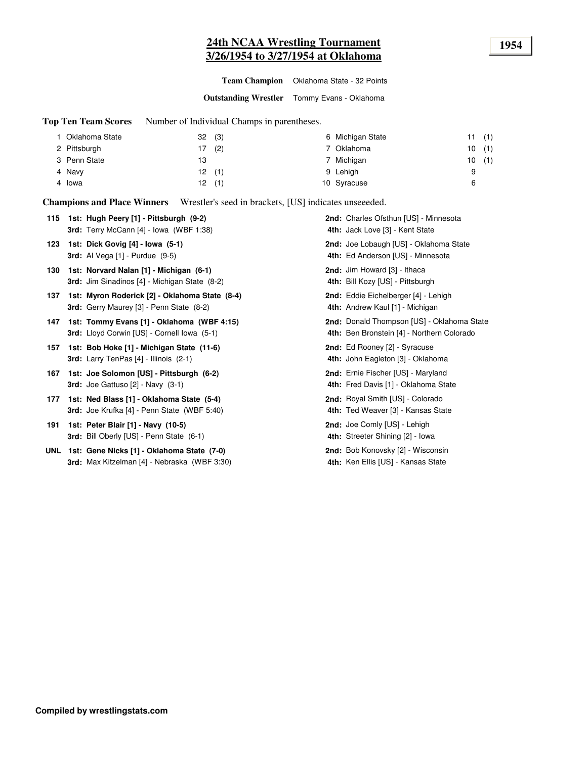# **24th NCAA Wrestling Tournament 1954 3/26/1954 to 3/27/1954 at Oklahoma**

**Team Champion** Oklahoma State - 32 Points

**Outstanding Wrestler** Tommy Evans - Oklahoma

**Top Ten Team Scores** Number of Individual Champs in parentheses.

| Oklahoma State | 32(3) |     | 6 Michigan State | 11    | (1) |
|----------------|-------|-----|------------------|-------|-----|
| 2 Pittsburgh   | 17    | (2) | Oklahoma         | 10(1) |     |
| 3 Penn State   | 13    |     | Michigan         | 10(1) |     |
| 4 Navy         | 12(1) |     | 9 Lehigh         | g     |     |
| 4 Iowa         | 12.   | (1) | 10 Syracuse      |       |     |

**Champions and Place Winners** Wrestler's seed in brackets, [US] indicates unseeeded.

| 1st: Hugh Peery [1] - Pittsburgh (9-2)                                                            |                                         | 2nd: Charles Ofsthun [US] - Minnesota<br>4th: Jack Love [3] - Kent State                        |
|---------------------------------------------------------------------------------------------------|-----------------------------------------|-------------------------------------------------------------------------------------------------|
| 1st: Dick Govig [4] - Iowa (5-1)<br><b>3rd:</b> Al Vega $[1]$ - Purdue $(9-5)$                    |                                         | <b>2nd:</b> Joe Lobaugh [US] - Oklahoma State<br>4th: Ed Anderson [US] - Minnesota              |
| 1st: Norvard Nalan [1] - Michigan (6-1)<br><b>3rd:</b> Jim Sinadinos [4] - Michigan State (8-2)   |                                         | <b>2nd:</b> Jim Howard [3] - Ithaca<br>4th: Bill Kozy [US] - Pittsburgh                         |
| 1st: Myron Roderick [2] - Oklahoma State (8-4)<br><b>3rd:</b> Gerry Maurey [3] - Penn State (8-2) |                                         | 2nd: Eddie Eichelberger [4] - Lehigh<br>4th: Andrew Kaul [1] - Michigan                         |
| 1st: Tommy Evans [1] - Oklahoma (WBF 4:15)<br><b>3rd:</b> Lloyd Corwin [US] - Cornell Iowa (5-1)  |                                         | <b>2nd:</b> Donald Thompson [US] - Oklahoma State<br>4th: Ben Bronstein [4] - Northern Colorado |
| 1st: Bob Hoke [1] - Michigan State (11-6)<br>3rd: Larry TenPas [4] - Illinois (2-1)               |                                         | 2nd: Ed Rooney [2] - Syracuse<br>4th: John Eagleton [3] - Oklahoma                              |
| 1st: Joe Solomon [US] - Pittsburgh (6-2)<br><b>3rd:</b> Joe Gattuso $[2]$ - Navy $(3-1)$          |                                         | 2nd: Ernie Fischer [US] - Maryland<br>4th: Fred Davis [1] - Oklahoma State                      |
| 1st: Ned Blass [1] - Oklahoma State (5-4)<br><b>3rd:</b> Joe Krufka [4] - Penn State (WBF 5:40)   |                                         | 2nd: Royal Smith [US] - Colorado<br>4th: Ted Weaver [3] - Kansas State                          |
| 1st: Peter Blair [1] - Navy (10-5)<br><b>3rd:</b> Bill Oberly [US] - Penn State (6-1)             |                                         | 2nd: Joe Comly [US] - Lehigh<br>4th: Streeter Shining [2] - Iowa                                |
| UNL 1st: Gene Nicks [1] - Oklahoma State (7-0)<br>3rd: Max Kitzelman [4] - Nebraska (WBF 3:30)    |                                         | <b>2nd:</b> Bob Konovsky [2] - Wisconsin<br>4th: Ken Ellis [US] - Kansas State                  |
|                                                                                                   | 3rd: Terry McCann [4] - Iowa (WBF 1:38) |                                                                                                 |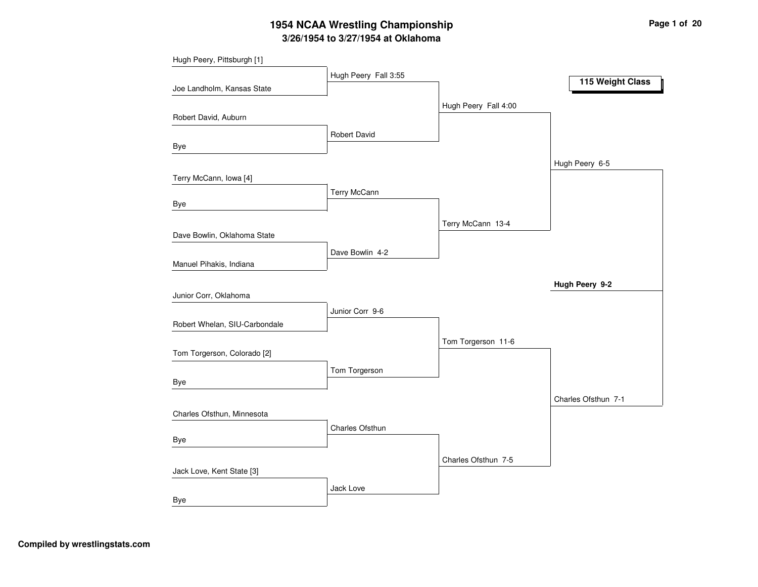# **3/26/1954 to 3/27/1954 at Oklahoma 1954 NCAA Wrestling Championship Page <sup>1</sup> of <sup>20</sup>**

| Hugh Peery, Pittsburgh [1]    |                      |                      |                     |
|-------------------------------|----------------------|----------------------|---------------------|
|                               | Hugh Peery Fall 3:55 |                      | 115 Weight Class    |
| Joe Landholm, Kansas State    |                      |                      |                     |
|                               |                      | Hugh Peery Fall 4:00 |                     |
| Robert David, Auburn          |                      |                      |                     |
|                               | Robert David         |                      |                     |
| Bye                           |                      |                      |                     |
|                               |                      |                      | Hugh Peery 6-5      |
| Terry McCann, Iowa [4]        |                      |                      |                     |
| Bye                           | Terry McCann         |                      |                     |
|                               |                      |                      |                     |
|                               |                      | Terry McCann 13-4    |                     |
| Dave Bowlin, Oklahoma State   |                      |                      |                     |
| Manuel Pihakis, Indiana       | Dave Bowlin 4-2      |                      |                     |
|                               |                      |                      |                     |
| Junior Corr, Oklahoma         |                      |                      | Hugh Peery 9-2      |
|                               | Junior Corr 9-6      |                      |                     |
| Robert Whelan, SIU-Carbondale |                      |                      |                     |
|                               |                      |                      |                     |
| Tom Torgerson, Colorado [2]   |                      | Tom Torgerson 11-6   |                     |
|                               | Tom Torgerson        |                      |                     |
| Bye                           |                      |                      |                     |
|                               |                      |                      | Charles Ofsthun 7-1 |
| Charles Ofsthun, Minnesota    |                      |                      |                     |
|                               | Charles Ofsthun      |                      |                     |
| Bye                           |                      |                      |                     |
|                               |                      | Charles Ofsthun 7-5  |                     |
| Jack Love, Kent State [3]     |                      |                      |                     |
|                               | Jack Love            |                      |                     |
| <b>Bye</b>                    |                      |                      |                     |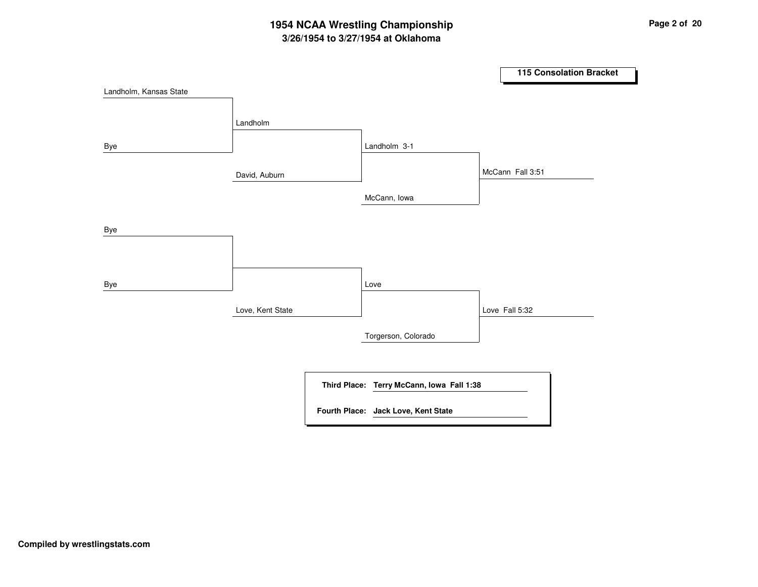# **3/26/1954 to 3/27/1954 at Oklahoma 1954 NCAA Wrestling Championship Page <sup>2</sup> of <sup>20</sup>**

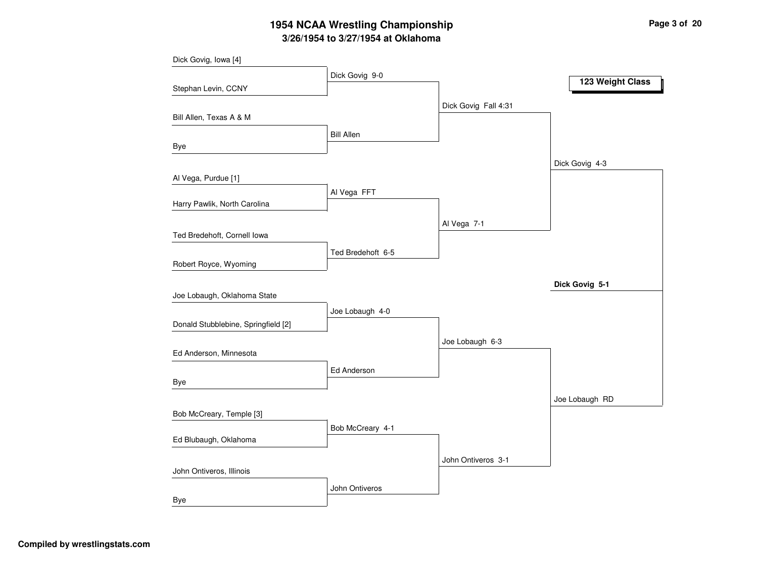# **3/26/1954 to 3/27/1954 at Oklahoma 1954 NCAA Wrestling Championship Page <sup>3</sup> of <sup>20</sup>**

| Dick Govig, Iowa [4]                |                   |                      |                  |
|-------------------------------------|-------------------|----------------------|------------------|
|                                     | Dick Govig 9-0    |                      | 123 Weight Class |
| Stephan Levin, CCNY                 |                   |                      |                  |
|                                     |                   | Dick Govig Fall 4:31 |                  |
| Bill Allen, Texas A & M             |                   |                      |                  |
|                                     | <b>Bill Allen</b> |                      |                  |
| Bye                                 |                   |                      |                  |
|                                     |                   |                      | Dick Govig 4-3   |
| Al Vega, Purdue [1]                 | Al Vega FFT       |                      |                  |
| Harry Pawlik, North Carolina        |                   |                      |                  |
|                                     |                   | Al Vega 7-1          |                  |
| Ted Bredehoft, Cornell Iowa         |                   |                      |                  |
|                                     | Ted Bredehoft 6-5 |                      |                  |
| Robert Royce, Wyoming               |                   |                      |                  |
|                                     |                   |                      | Dick Govig 5-1   |
| Joe Lobaugh, Oklahoma State         |                   |                      |                  |
|                                     | Joe Lobaugh 4-0   |                      |                  |
| Donald Stubblebine, Springfield [2] |                   |                      |                  |
|                                     |                   | Joe Lobaugh 6-3      |                  |
| Ed Anderson, Minnesota              |                   |                      |                  |
| Bye                                 | Ed Anderson       |                      |                  |
|                                     |                   |                      | Joe Lobaugh RD   |
| Bob McCreary, Temple [3]            |                   |                      |                  |
|                                     | Bob McCreary 4-1  |                      |                  |
| Ed Blubaugh, Oklahoma               |                   |                      |                  |
|                                     |                   | John Ontiveros 3-1   |                  |
| John Ontiveros, Illinois            |                   |                      |                  |
|                                     | John Ontiveros    |                      |                  |
| <b>Bye</b>                          |                   |                      |                  |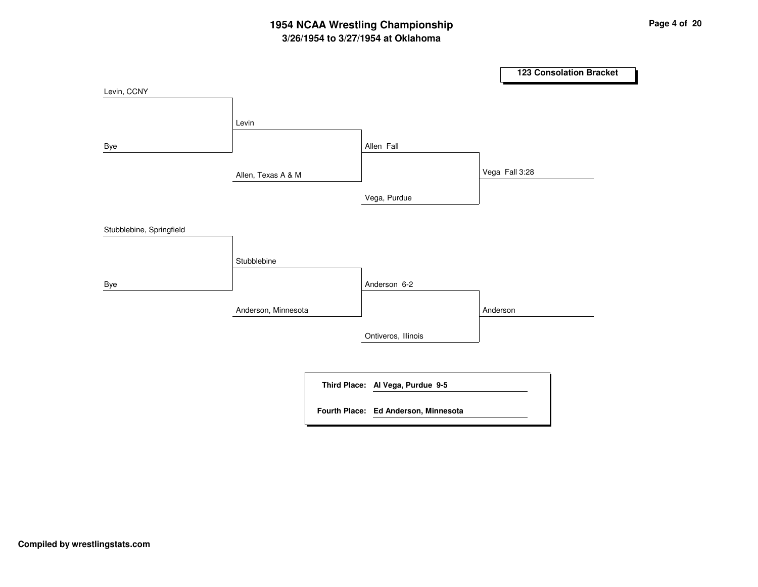## **3/26/1954 to 3/27/1954 at Oklahoma 1954 NCAA Wrestling Championship Page <sup>4</sup> of <sup>20</sup>**

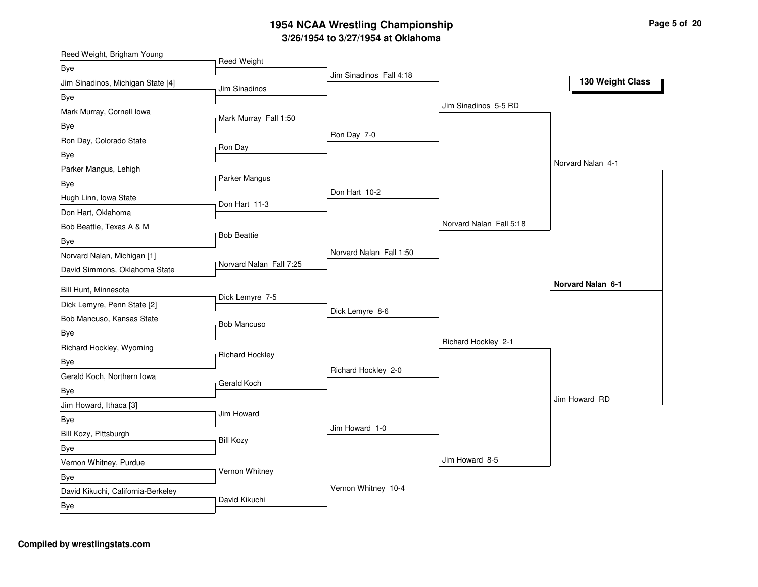| Reed Weight<br>Bye<br>Jim Sinadinos Fall 4:18<br>130 Weight Class<br>Jim Sinadinos, Michigan State [4]<br>Jim Sinadinos<br>Bye<br>Jim Sinadinos 5-5 RD<br>Mark Murray, Cornell Iowa<br>Mark Murray Fall 1:50<br>Bye<br>Ron Day 7-0<br>Ron Day, Colorado State<br>Ron Day<br>Bye<br>Norvard Nalan 4-1<br>Parker Mangus, Lehigh<br>Parker Mangus<br>Bye |  |
|-------------------------------------------------------------------------------------------------------------------------------------------------------------------------------------------------------------------------------------------------------------------------------------------------------------------------------------------------------|--|
|                                                                                                                                                                                                                                                                                                                                                       |  |
|                                                                                                                                                                                                                                                                                                                                                       |  |
|                                                                                                                                                                                                                                                                                                                                                       |  |
|                                                                                                                                                                                                                                                                                                                                                       |  |
|                                                                                                                                                                                                                                                                                                                                                       |  |
|                                                                                                                                                                                                                                                                                                                                                       |  |
|                                                                                                                                                                                                                                                                                                                                                       |  |
|                                                                                                                                                                                                                                                                                                                                                       |  |
|                                                                                                                                                                                                                                                                                                                                                       |  |
| Don Hart 10-2<br>Hugh Linn, Iowa State                                                                                                                                                                                                                                                                                                                |  |
| Don Hart 11-3<br>Don Hart, Oklahoma                                                                                                                                                                                                                                                                                                                   |  |
| Norvard Nalan Fall 5:18<br>Bob Beattie, Texas A & M                                                                                                                                                                                                                                                                                                   |  |
| <b>Bob Beattie</b><br>Bye                                                                                                                                                                                                                                                                                                                             |  |
| Norvard Nalan Fall 1:50<br>Norvard Nalan, Michigan [1]                                                                                                                                                                                                                                                                                                |  |
| Norvard Nalan Fall 7:25<br>David Simmons, Oklahoma State                                                                                                                                                                                                                                                                                              |  |
| Norvard Nalan 6-1<br>Bill Hunt, Minnesota                                                                                                                                                                                                                                                                                                             |  |
| Dick Lemyre 7-5<br>Dick Lemyre, Penn State [2]                                                                                                                                                                                                                                                                                                        |  |
| Dick Lemyre 8-6<br>Bob Mancuso, Kansas State                                                                                                                                                                                                                                                                                                          |  |
| <b>Bob Mancuso</b><br>Bye                                                                                                                                                                                                                                                                                                                             |  |
| Richard Hockley 2-1<br>Richard Hockley, Wyoming                                                                                                                                                                                                                                                                                                       |  |
| <b>Richard Hockley</b><br>Bye                                                                                                                                                                                                                                                                                                                         |  |
| Richard Hockley 2-0<br>Gerald Koch, Northern Iowa                                                                                                                                                                                                                                                                                                     |  |
| Gerald Koch<br>Bye                                                                                                                                                                                                                                                                                                                                    |  |
| Jim Howard RD<br>Jim Howard, Ithaca [3]                                                                                                                                                                                                                                                                                                               |  |
| Jim Howard<br>Bye                                                                                                                                                                                                                                                                                                                                     |  |
| Jim Howard 1-0<br>Bill Kozy, Pittsburgh                                                                                                                                                                                                                                                                                                               |  |
| <b>Bill Kozy</b><br><b>Bye</b>                                                                                                                                                                                                                                                                                                                        |  |
| Jim Howard 8-5<br>Vernon Whitney, Purdue                                                                                                                                                                                                                                                                                                              |  |
| Vernon Whitney<br>Bye                                                                                                                                                                                                                                                                                                                                 |  |
| Vernon Whitney 10-4<br>David Kikuchi, California-Berkeley                                                                                                                                                                                                                                                                                             |  |
| David Kikuchi<br>Bye                                                                                                                                                                                                                                                                                                                                  |  |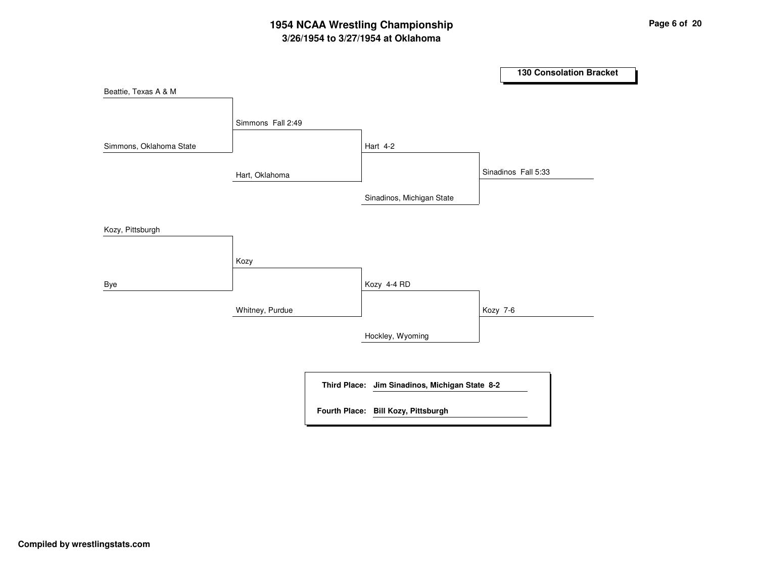# **3/26/1954 to 3/27/1954 at Oklahoma 1954 NCAA Wrestling Championship Page <sup>6</sup> of <sup>20</sup>**

![](_page_6_Figure_1.jpeg)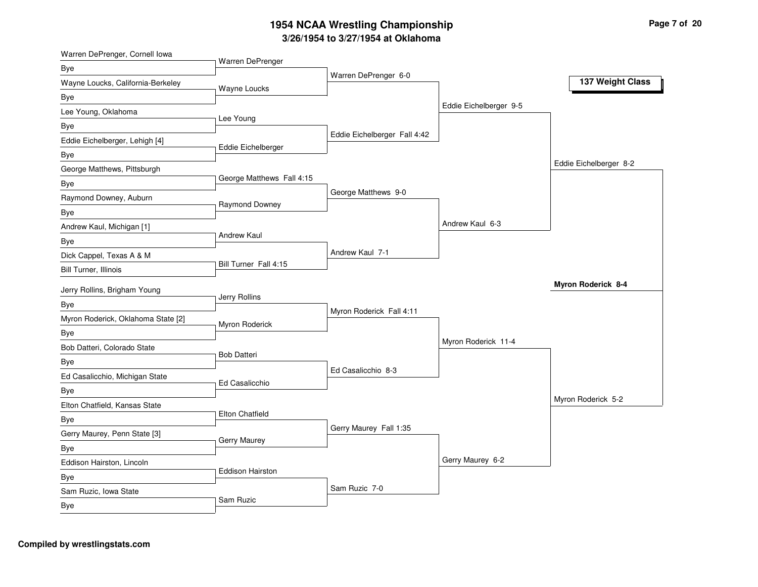| Warren DePrenger, Cornell Iowa            |                           |                              |                        |                        |
|-------------------------------------------|---------------------------|------------------------------|------------------------|------------------------|
| Bye                                       | Warren DePrenger          | Warren DePrenger 6-0         |                        |                        |
| Wayne Loucks, California-Berkeley         | Wayne Loucks              |                              |                        | 137 Weight Class       |
| Bye                                       |                           |                              |                        |                        |
| Lee Young, Oklahoma                       |                           |                              | Eddie Eichelberger 9-5 |                        |
| Bye                                       | Lee Young                 |                              |                        |                        |
| Eddie Eichelberger, Lehigh [4]            |                           | Eddie Eichelberger Fall 4:42 |                        |                        |
| Bye                                       | Eddie Eichelberger        |                              |                        |                        |
| George Matthews, Pittsburgh               |                           |                              |                        | Eddie Eichelberger 8-2 |
| Bye                                       | George Matthews Fall 4:15 |                              |                        |                        |
| Raymond Downey, Auburn                    |                           | George Matthews 9-0          |                        |                        |
| Bye                                       | Raymond Downey            |                              |                        |                        |
| Andrew Kaul, Michigan [1]                 |                           |                              | Andrew Kaul 6-3        |                        |
| Bye                                       | Andrew Kaul               |                              |                        |                        |
| Dick Cappel, Texas A & M                  |                           | Andrew Kaul 7-1              |                        |                        |
| Bill Turner, Illinois                     | Bill Turner Fall 4:15     |                              |                        |                        |
| Jerry Rollins, Brigham Young              |                           |                              |                        | Myron Roderick 8-4     |
|                                           | Jerry Rollins             |                              |                        |                        |
| Bye<br>Myron Roderick, Oklahoma State [2] |                           | Myron Roderick Fall 4:11     |                        |                        |
|                                           | Myron Roderick            |                              |                        |                        |
| Bye                                       |                           |                              | Myron Roderick 11-4    |                        |
| Bob Datteri, Colorado State               | <b>Bob Datteri</b>        |                              |                        |                        |
| Bye                                       |                           | Ed Casalicchio 8-3           |                        |                        |
| Ed Casalicchio, Michigan State            | Ed Casalicchio            |                              |                        |                        |
| Bye                                       |                           |                              |                        | Myron Roderick 5-2     |
| Elton Chatfield, Kansas State             | <b>Elton Chatfield</b>    |                              |                        |                        |
| Bye                                       |                           | Gerry Maurey Fall 1:35       |                        |                        |
| Gerry Maurey, Penn State [3]              | Gerry Maurey              |                              |                        |                        |
| Bye                                       |                           |                              |                        |                        |
| Eddison Hairston, Lincoln                 | <b>Eddison Hairston</b>   |                              | Gerry Maurey 6-2       |                        |
| Bye                                       |                           |                              |                        |                        |
| Sam Ruzic, Iowa State                     | Sam Ruzic                 | Sam Ruzic 7-0                |                        |                        |
| Bye                                       |                           |                              |                        |                        |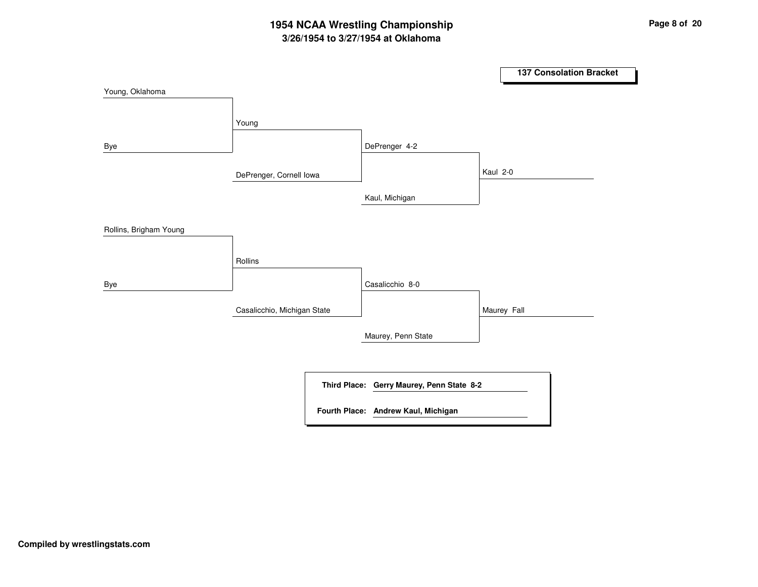# **3/26/1954 to 3/27/1954 at Oklahoma 1954 NCAA Wrestling Championship Page <sup>8</sup> of <sup>20</sup>**

![](_page_8_Figure_1.jpeg)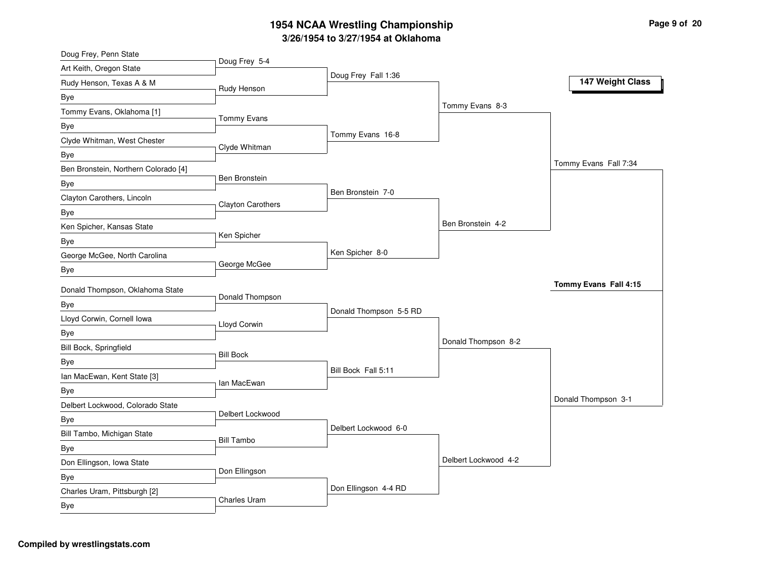| Doug Frey, Penn State                |                   |                        |                      |                       |
|--------------------------------------|-------------------|------------------------|----------------------|-----------------------|
| Art Keith, Oregon State              | Doug Frey 5-4     | Doug Frey Fall 1:36    |                      |                       |
| Rudy Henson, Texas A & M             | Rudy Henson       |                        |                      | 147 Weight Class      |
| Bye                                  |                   |                        |                      |                       |
| Tommy Evans, Oklahoma [1]            | Tommy Evans       |                        | Tommy Evans 8-3      |                       |
| Bye                                  |                   |                        |                      |                       |
| Clyde Whitman, West Chester          | Clyde Whitman     | Tommy Evans 16-8       |                      |                       |
| Bye                                  |                   |                        |                      |                       |
| Ben Bronstein, Northern Colorado [4] |                   |                        |                      | Tommy Evans Fall 7:34 |
| Bye                                  | Ben Bronstein     |                        |                      |                       |
| Clayton Carothers, Lincoln           | Clayton Carothers | Ben Bronstein 7-0      |                      |                       |
| <b>Bye</b>                           |                   |                        |                      |                       |
| Ken Spicher, Kansas State            |                   |                        | Ben Bronstein 4-2    |                       |
| Bye                                  | Ken Spicher       |                        |                      |                       |
| George McGee, North Carolina         |                   | Ken Spicher 8-0        |                      |                       |
| Bye                                  | George McGee      |                        |                      |                       |
|                                      |                   |                        |                      |                       |
|                                      |                   |                        |                      | Tommy Evans Fall 4:15 |
| Donald Thompson, Oklahoma State      | Donald Thompson   |                        |                      |                       |
| Bye                                  |                   | Donald Thompson 5-5 RD |                      |                       |
| Lloyd Corwin, Cornell Iowa           | Lloyd Corwin      |                        |                      |                       |
| Bye                                  |                   |                        | Donald Thompson 8-2  |                       |
| Bill Bock, Springfield               | <b>Bill Bock</b>  |                        |                      |                       |
| Bye                                  |                   | Bill Bock Fall 5:11    |                      |                       |
| Ian MacEwan, Kent State [3]          | Ian MacEwan       |                        |                      |                       |
| Bye                                  |                   |                        |                      | Donald Thompson 3-1   |
| Delbert Lockwood, Colorado State     | Delbert Lockwood  |                        |                      |                       |
| Bye                                  |                   | Delbert Lockwood 6-0   |                      |                       |
| Bill Tambo, Michigan State           | <b>Bill Tambo</b> |                        |                      |                       |
| Bye                                  |                   |                        | Delbert Lockwood 4-2 |                       |
| Don Ellingson, Iowa State            | Don Ellingson     |                        |                      |                       |
| Bye                                  |                   |                        |                      |                       |
| Charles Uram, Pittsburgh [2]<br>Bye  | Charles Uram      | Don Ellingson 4-4 RD   |                      |                       |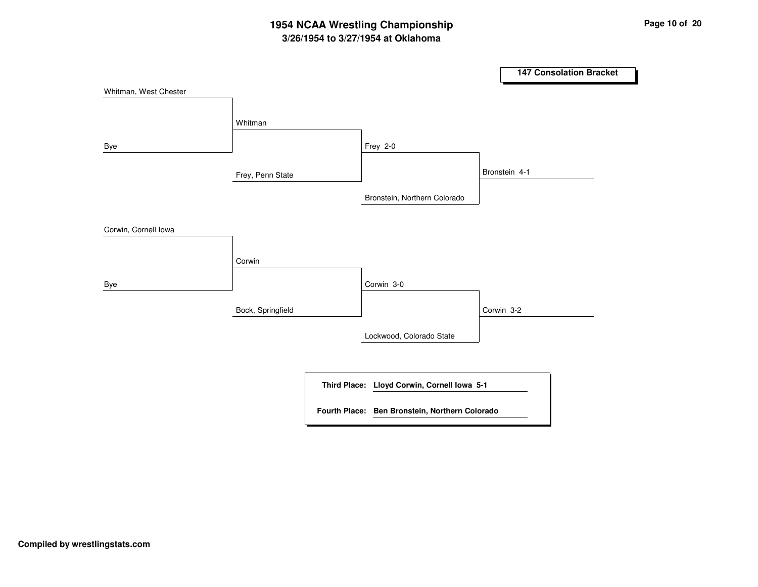# **3/26/1954 to 3/27/1954 at Oklahoma 1954 NCAA Wrestling Championship Page <sup>10</sup> of <sup>20</sup>**

![](_page_10_Figure_1.jpeg)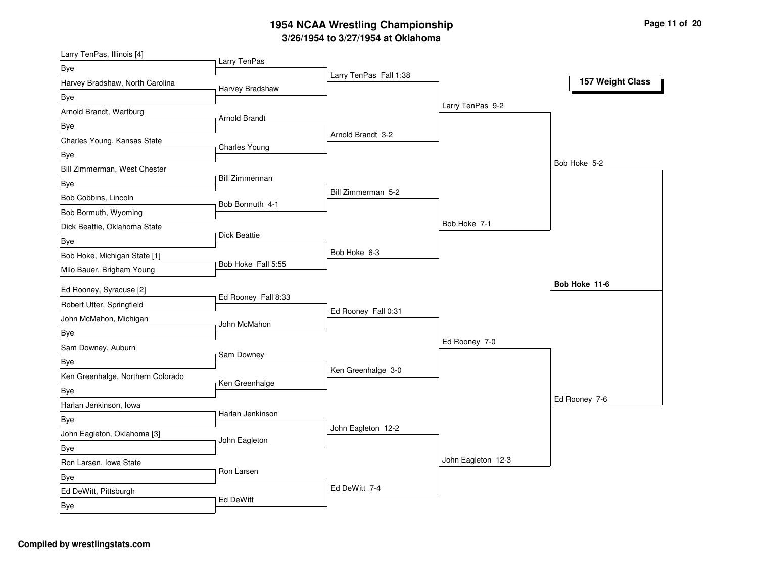| Bye<br>Larry TenPas Fall 1:38<br>157 Weight Class<br>Harvey Bradshaw, North Carolina<br>Harvey Bradshaw<br>Bye<br>Larry TenPas 9-2<br>Arnold Brandt, Wartburg<br>Arnold Brandt<br><b>Bye</b><br>Arnold Brandt 3-2<br>Charles Young, Kansas State<br><b>Charles Young</b><br>Bye<br>Bob Hoke 5-2<br>Bill Zimmerman, West Chester<br><b>Bill Zimmerman</b><br>Bye<br>Bill Zimmerman 5-2<br>Bob Cobbins, Lincoln<br>Bob Bormuth 4-1<br>Bob Bormuth, Wyoming<br>Bob Hoke 7-1<br>Dick Beattie, Oklahoma State<br>Dick Beattie<br>Bye<br>Bob Hoke 6-3<br>Bob Hoke, Michigan State [1]<br>Bob Hoke Fall 5:55<br>Milo Bauer, Brigham Young | Larry TenPas, Illinois [4] | Larry TenPas |  |  |
|------------------------------------------------------------------------------------------------------------------------------------------------------------------------------------------------------------------------------------------------------------------------------------------------------------------------------------------------------------------------------------------------------------------------------------------------------------------------------------------------------------------------------------------------------------------------------------------------------------------------------------|----------------------------|--------------|--|--|
|                                                                                                                                                                                                                                                                                                                                                                                                                                                                                                                                                                                                                                    |                            |              |  |  |
|                                                                                                                                                                                                                                                                                                                                                                                                                                                                                                                                                                                                                                    |                            |              |  |  |
|                                                                                                                                                                                                                                                                                                                                                                                                                                                                                                                                                                                                                                    |                            |              |  |  |
|                                                                                                                                                                                                                                                                                                                                                                                                                                                                                                                                                                                                                                    |                            |              |  |  |
|                                                                                                                                                                                                                                                                                                                                                                                                                                                                                                                                                                                                                                    |                            |              |  |  |
|                                                                                                                                                                                                                                                                                                                                                                                                                                                                                                                                                                                                                                    |                            |              |  |  |
|                                                                                                                                                                                                                                                                                                                                                                                                                                                                                                                                                                                                                                    |                            |              |  |  |
|                                                                                                                                                                                                                                                                                                                                                                                                                                                                                                                                                                                                                                    |                            |              |  |  |
|                                                                                                                                                                                                                                                                                                                                                                                                                                                                                                                                                                                                                                    |                            |              |  |  |
|                                                                                                                                                                                                                                                                                                                                                                                                                                                                                                                                                                                                                                    |                            |              |  |  |
|                                                                                                                                                                                                                                                                                                                                                                                                                                                                                                                                                                                                                                    |                            |              |  |  |
|                                                                                                                                                                                                                                                                                                                                                                                                                                                                                                                                                                                                                                    |                            |              |  |  |
|                                                                                                                                                                                                                                                                                                                                                                                                                                                                                                                                                                                                                                    |                            |              |  |  |
|                                                                                                                                                                                                                                                                                                                                                                                                                                                                                                                                                                                                                                    |                            |              |  |  |
|                                                                                                                                                                                                                                                                                                                                                                                                                                                                                                                                                                                                                                    |                            |              |  |  |
| Bob Hoke 11-6<br>Ed Rooney, Syracuse [2]                                                                                                                                                                                                                                                                                                                                                                                                                                                                                                                                                                                           |                            |              |  |  |
| Ed Rooney Fall 8:33<br>Robert Utter, Springfield                                                                                                                                                                                                                                                                                                                                                                                                                                                                                                                                                                                   |                            |              |  |  |
| Ed Rooney Fall 0:31<br>John McMahon, Michigan                                                                                                                                                                                                                                                                                                                                                                                                                                                                                                                                                                                      |                            |              |  |  |
| John McMahon<br>Bye                                                                                                                                                                                                                                                                                                                                                                                                                                                                                                                                                                                                                |                            |              |  |  |
| Ed Rooney 7-0<br>Sam Downey, Auburn                                                                                                                                                                                                                                                                                                                                                                                                                                                                                                                                                                                                |                            |              |  |  |
| Sam Downey<br>Bye                                                                                                                                                                                                                                                                                                                                                                                                                                                                                                                                                                                                                  |                            |              |  |  |
| Ken Greenhalge 3-0<br>Ken Greenhalge, Northern Colorado                                                                                                                                                                                                                                                                                                                                                                                                                                                                                                                                                                            |                            |              |  |  |
| Ken Greenhalge<br><b>Bye</b>                                                                                                                                                                                                                                                                                                                                                                                                                                                                                                                                                                                                       |                            |              |  |  |
| Ed Rooney 7-6<br>Harlan Jenkinson, Iowa                                                                                                                                                                                                                                                                                                                                                                                                                                                                                                                                                                                            |                            |              |  |  |
| Harlan Jenkinson<br><b>Bye</b>                                                                                                                                                                                                                                                                                                                                                                                                                                                                                                                                                                                                     |                            |              |  |  |
| John Eagleton 12-2<br>John Eagleton, Oklahoma [3]                                                                                                                                                                                                                                                                                                                                                                                                                                                                                                                                                                                  |                            |              |  |  |
| John Eagleton<br><b>Bye</b>                                                                                                                                                                                                                                                                                                                                                                                                                                                                                                                                                                                                        |                            |              |  |  |
| John Eagleton 12-3<br>Ron Larsen, Iowa State                                                                                                                                                                                                                                                                                                                                                                                                                                                                                                                                                                                       |                            |              |  |  |
| Ron Larsen<br>Bye                                                                                                                                                                                                                                                                                                                                                                                                                                                                                                                                                                                                                  |                            |              |  |  |
| Ed DeWitt 7-4<br>Ed DeWitt, Pittsburgh                                                                                                                                                                                                                                                                                                                                                                                                                                                                                                                                                                                             |                            |              |  |  |
| Ed DeWitt<br><b>Bye</b>                                                                                                                                                                                                                                                                                                                                                                                                                                                                                                                                                                                                            |                            |              |  |  |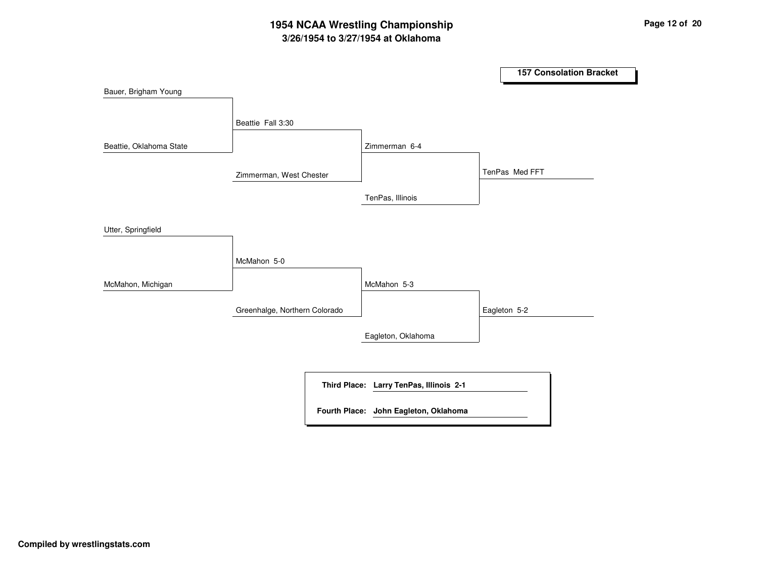# **3/26/1954 to 3/27/1954 at Oklahoma 1954 NCAA Wrestling Championship Page <sup>12</sup> of <sup>20</sup>**

![](_page_12_Figure_1.jpeg)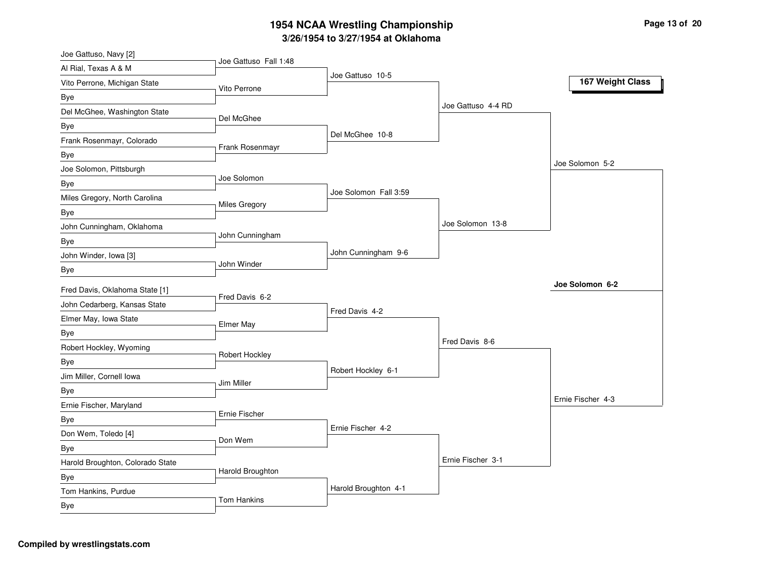| Joe Gattuso, Navy [2]            |                       |                       |                    |                   |
|----------------------------------|-----------------------|-----------------------|--------------------|-------------------|
| Al Rial, Texas A & M             | Joe Gattuso Fall 1:48 |                       |                    |                   |
| Vito Perrone, Michigan State     | Vito Perrone          | Joe Gattuso 10-5      |                    | 167 Weight Class  |
| Bye                              |                       |                       |                    |                   |
| Del McGhee, Washington State     |                       |                       | Joe Gattuso 4-4 RD |                   |
| Bye                              | Del McGhee            |                       |                    |                   |
| Frank Rosenmayr, Colorado        | Frank Rosenmayr       | Del McGhee 10-8       |                    |                   |
| Bye                              |                       |                       |                    |                   |
| Joe Solomon, Pittsburgh          |                       |                       |                    | Joe Solomon 5-2   |
| Bye                              | Joe Solomon           |                       |                    |                   |
| Miles Gregory, North Carolina    | Miles Gregory         | Joe Solomon Fall 3:59 |                    |                   |
| Bye                              |                       |                       |                    |                   |
| John Cunningham, Oklahoma        |                       |                       | Joe Solomon 13-8   |                   |
| Bye                              | John Cunningham       |                       |                    |                   |
| John Winder, Iowa [3]            |                       | John Cunningham 9-6   |                    |                   |
| Bye                              | John Winder           |                       |                    |                   |
| Fred Davis, Oklahoma State [1]   |                       |                       |                    | Joe Solomon 6-2   |
| John Cedarberg, Kansas State     | Fred Davis 6-2        |                       |                    |                   |
| Elmer May, Iowa State            |                       | Fred Davis 4-2        |                    |                   |
| Bye                              | <b>Elmer May</b>      |                       |                    |                   |
| Robert Hockley, Wyoming          |                       |                       |                    |                   |
|                                  |                       |                       | Fred Davis 8-6     |                   |
|                                  | Robert Hockley        |                       |                    |                   |
| <b>Bye</b>                       |                       | Robert Hockley 6-1    |                    |                   |
| Jim Miller, Cornell Iowa         | Jim Miller            |                       |                    |                   |
| Bye                              |                       |                       |                    | Ernie Fischer 4-3 |
| Ernie Fischer, Maryland          | Ernie Fischer         |                       |                    |                   |
| Bye                              |                       | Ernie Fischer 4-2     |                    |                   |
| Don Wem, Toledo [4]              | Don Wem               |                       |                    |                   |
| Bye                              |                       |                       | Ernie Fischer 3-1  |                   |
| Harold Broughton, Colorado State | Harold Broughton      |                       |                    |                   |
| Bye<br>Tom Hankins, Purdue       |                       | Harold Broughton 4-1  |                    |                   |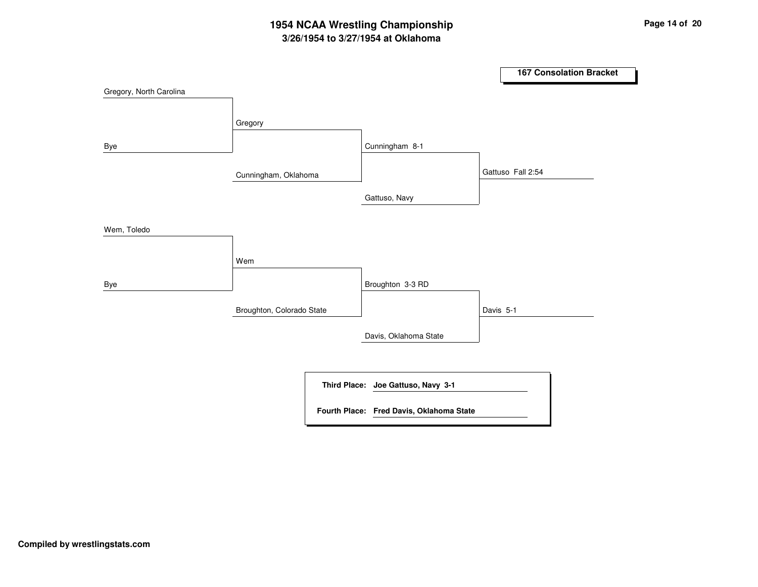# **3/26/1954 to 3/27/1954 at Oklahoma 1954 NCAA Wrestling Championship Page <sup>14</sup> of <sup>20</sup>**

![](_page_14_Figure_1.jpeg)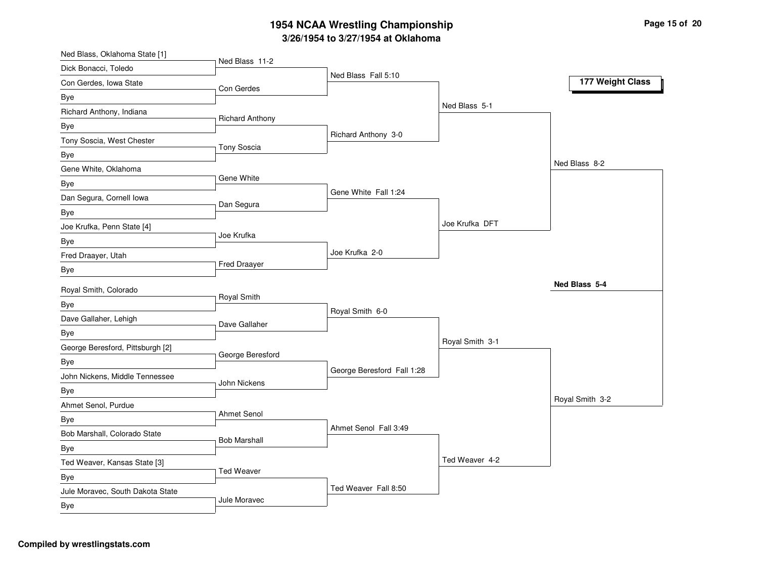| Ned Blass, Oklahoma State [1]    |                        |                            |                 |                  |
|----------------------------------|------------------------|----------------------------|-----------------|------------------|
| Dick Bonacci, Toledo             | Ned Blass 11-2         | Ned Blass Fall 5:10        |                 |                  |
| Con Gerdes, Iowa State           | Con Gerdes             |                            |                 | 177 Weight Class |
| Bye                              |                        |                            |                 |                  |
| Richard Anthony, Indiana         |                        |                            | Ned Blass 5-1   |                  |
| Bye                              | <b>Richard Anthony</b> |                            |                 |                  |
| Tony Soscia, West Chester        | <b>Tony Soscia</b>     | Richard Anthony 3-0        |                 |                  |
| Bye                              |                        |                            |                 |                  |
| Gene White, Oklahoma             |                        |                            |                 | Ned Blass 8-2    |
| Bye                              | Gene White             |                            |                 |                  |
| Dan Segura, Cornell Iowa         | Dan Segura             | Gene White Fall 1:24       |                 |                  |
| Bye                              |                        |                            |                 |                  |
| Joe Krufka, Penn State [4]       |                        |                            | Joe Krufka DFT  |                  |
| Bye                              | Joe Krufka             |                            |                 |                  |
| Fred Draayer, Utah               |                        | Joe Krufka 2-0             |                 |                  |
| Bye                              | Fred Draayer           |                            |                 |                  |
| Royal Smith, Colorado            |                        |                            |                 | Ned Blass 5-4    |
| Bye                              | Royal Smith            |                            |                 |                  |
| Dave Gallaher, Lehigh            |                        | Royal Smith 6-0            |                 |                  |
| Bye                              | Dave Gallaher          |                            |                 |                  |
| George Beresford, Pittsburgh [2] |                        |                            | Royal Smith 3-1 |                  |
| Bye                              | George Beresford       |                            |                 |                  |
| John Nickens, Middle Tennessee   |                        | George Beresford Fall 1:28 |                 |                  |
| Bye                              | John Nickens           |                            |                 |                  |
| Ahmet Senol, Purdue              |                        |                            |                 | Royal Smith 3-2  |
| Bye                              | Ahmet Senol            |                            |                 |                  |
| Bob Marshall, Colorado State     |                        | Ahmet Senol Fall 3:49      |                 |                  |
| Bye                              | <b>Bob Marshall</b>    |                            |                 |                  |
| Ted Weaver, Kansas State [3]     |                        |                            | Ted Weaver 4-2  |                  |
| Bye                              | <b>Ted Weaver</b>      |                            |                 |                  |
| Jule Moravec, South Dakota State |                        | Ted Weaver Fall 8:50       |                 |                  |
| Bye                              | Jule Moravec           |                            |                 |                  |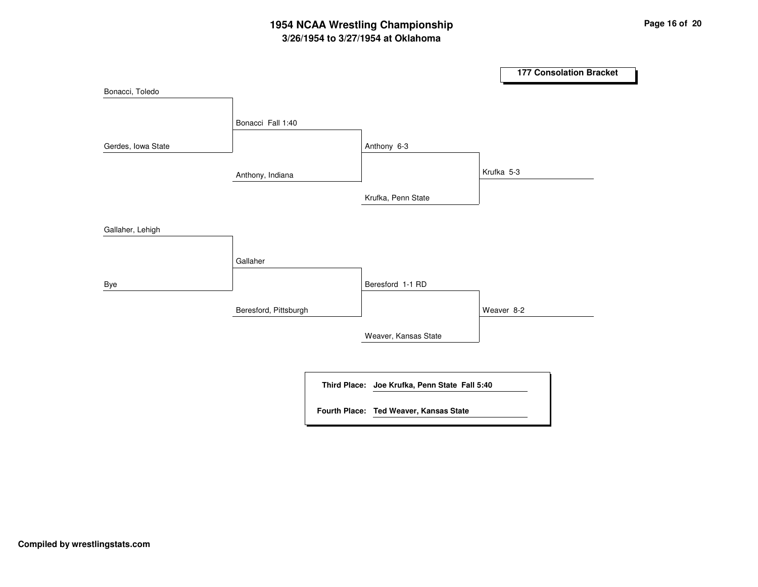# **3/26/1954 to 3/27/1954 at Oklahoma 1954 NCAA Wrestling Championship Page <sup>16</sup> of <sup>20</sup>**

![](_page_16_Figure_1.jpeg)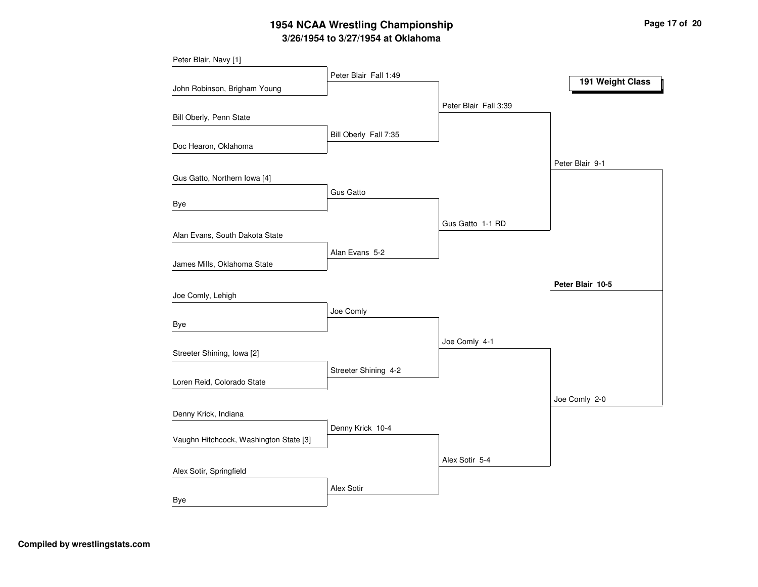# **3/26/1954 to 3/27/1954 at Oklahoma 1954 NCAA Wrestling Championship Page <sup>17</sup> of <sup>20</sup>**

| Peter Blair, Navy [1]                  |                       |                       |                  |
|----------------------------------------|-----------------------|-----------------------|------------------|
|                                        | Peter Blair Fall 1:49 |                       | 191 Weight Class |
| John Robinson, Brigham Young           |                       |                       |                  |
|                                        |                       | Peter Blair Fall 3:39 |                  |
| Bill Oberly, Penn State                |                       |                       |                  |
|                                        | Bill Oberly Fall 7:35 |                       |                  |
| Doc Hearon, Oklahoma                   |                       |                       |                  |
|                                        |                       |                       | Peter Blair 9-1  |
| Gus Gatto, Northern Iowa [4]           |                       |                       |                  |
| Bye                                    | <b>Gus Gatto</b>      |                       |                  |
|                                        |                       |                       |                  |
|                                        |                       | Gus Gatto 1-1 RD      |                  |
| Alan Evans, South Dakota State         |                       |                       |                  |
| James Mills, Oklahoma State            | Alan Evans 5-2        |                       |                  |
|                                        |                       |                       |                  |
|                                        |                       |                       | Peter Blair 10-5 |
| Joe Comly, Lehigh                      | Joe Comly             |                       |                  |
| Bye                                    |                       |                       |                  |
|                                        |                       |                       |                  |
| Streeter Shining, Iowa [2]             |                       | Joe Comly 4-1         |                  |
|                                        | Streeter Shining 4-2  |                       |                  |
| Loren Reid, Colorado State             |                       |                       |                  |
|                                        |                       |                       | Joe Comly 2-0    |
| Denny Krick, Indiana                   |                       |                       |                  |
|                                        | Denny Krick 10-4      |                       |                  |
| Vaughn Hitchcock, Washington State [3] |                       |                       |                  |
|                                        |                       | Alex Sotir 5-4        |                  |
| Alex Sotir, Springfield                |                       |                       |                  |
|                                        | Alex Sotir            |                       |                  |
| Bye                                    |                       |                       |                  |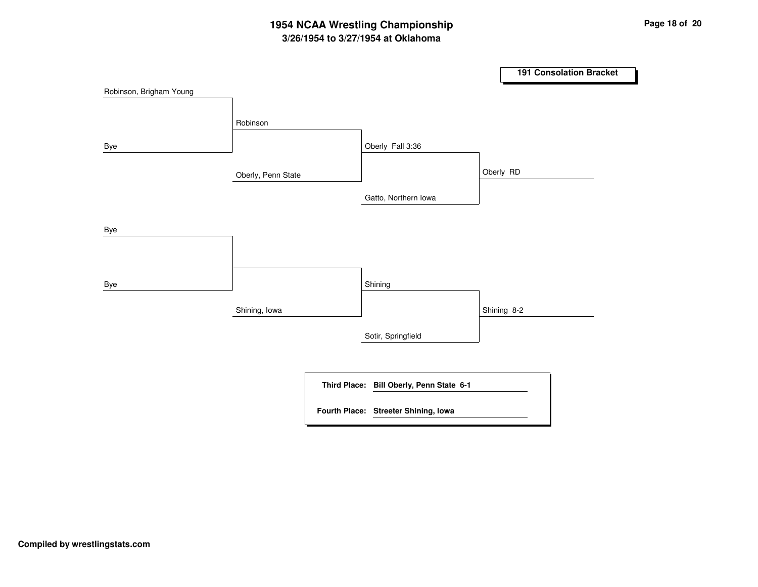# **3/26/1954 to 3/27/1954 at Oklahoma 1954 NCAA Wrestling Championship Page <sup>18</sup> of <sup>20</sup>**

![](_page_18_Figure_1.jpeg)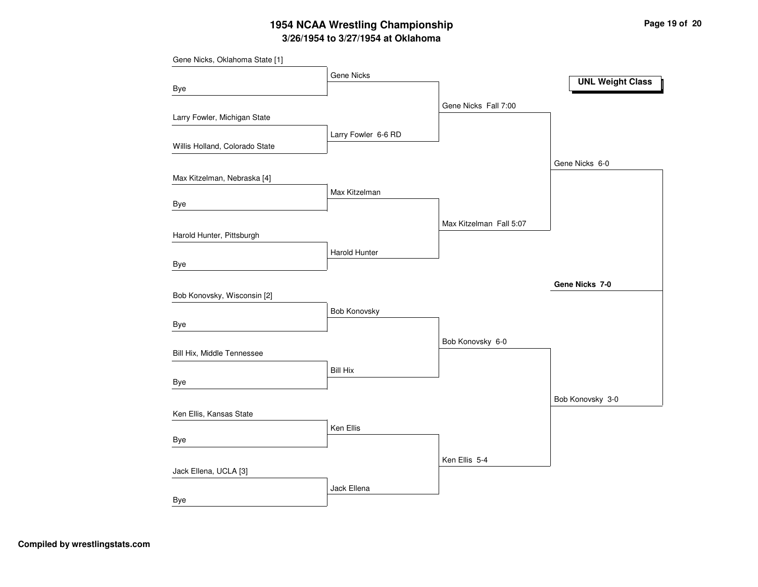# **3/26/1954 to 3/27/1954 at Oklahoma 1954 NCAA Wrestling Championship Page <sup>19</sup> of <sup>20</sup>**

| Gene Nicks, Oklahoma State [1] |                     |                         |                         |
|--------------------------------|---------------------|-------------------------|-------------------------|
|                                | <b>Gene Nicks</b>   |                         | <b>UNL Weight Class</b> |
| Bye                            |                     |                         |                         |
|                                |                     | Gene Nicks Fall 7:00    |                         |
| Larry Fowler, Michigan State   |                     |                         |                         |
|                                | Larry Fowler 6-6 RD |                         |                         |
| Willis Holland, Colorado State |                     |                         |                         |
|                                |                     |                         | Gene Nicks 6-0          |
| Max Kitzelman, Nebraska [4]    |                     |                         |                         |
|                                | Max Kitzelman       |                         |                         |
| <b>Bye</b>                     |                     |                         |                         |
|                                |                     | Max Kitzelman Fall 5:07 |                         |
| Harold Hunter, Pittsburgh      |                     |                         |                         |
|                                | Harold Hunter       |                         |                         |
| <b>Bye</b>                     |                     |                         |                         |
|                                |                     |                         | Gene Nicks 7-0          |
| Bob Konovsky, Wisconsin [2]    |                     |                         |                         |
|                                | <b>Bob Konovsky</b> |                         |                         |
| <b>Bye</b>                     |                     |                         |                         |
|                                |                     | Bob Konovsky 6-0        |                         |
| Bill Hix, Middle Tennessee     |                     |                         |                         |
|                                | <b>Bill Hix</b>     |                         |                         |
| Bye                            |                     |                         |                         |
|                                |                     |                         | Bob Konovsky 3-0        |
| Ken Ellis, Kansas State        |                     |                         |                         |
|                                | Ken Ellis           |                         |                         |
| <b>Bye</b>                     |                     |                         |                         |
|                                |                     | Ken Ellis 5-4           |                         |
| Jack Ellena, UCLA [3]          |                     |                         |                         |
|                                | Jack Ellena         |                         |                         |
| <b>Bye</b>                     |                     |                         |                         |